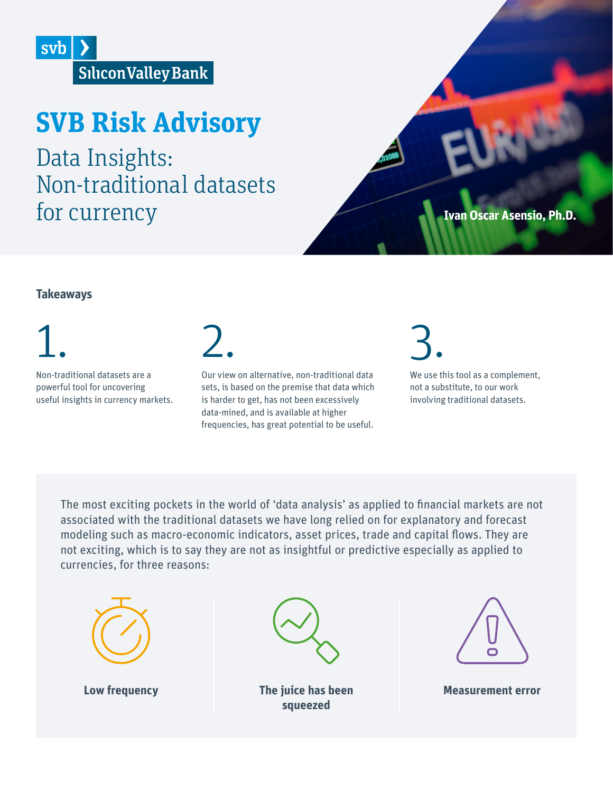

# **SVB Risk Advisory**

Data Insights: Non-traditional datasets



# **Takeaways**

# 1.

Non-traditional datasets are a powerful tool for uncovering useful insights in currency markets.  $\sum$ 

Our view on alternative, non-traditional data sets, is based on the premise that data which is harder to get, has not been excessively data-mined, and is available at higher frequencies, has great potential to be useful. 3.

We use this tool as a complement, not a substitute, to our work involving traditional datasets.

The most exciting pockets in the world of 'data analysis' as applied to financial markets are not associated with the traditional datasets we have long relied on for explanatory and forecast modeling such as macro-economic indicators, asset prices, trade and capital flows. They are not exciting, which is to say they are not as insightful or predictive especially as applied to currencies, for three reasons:







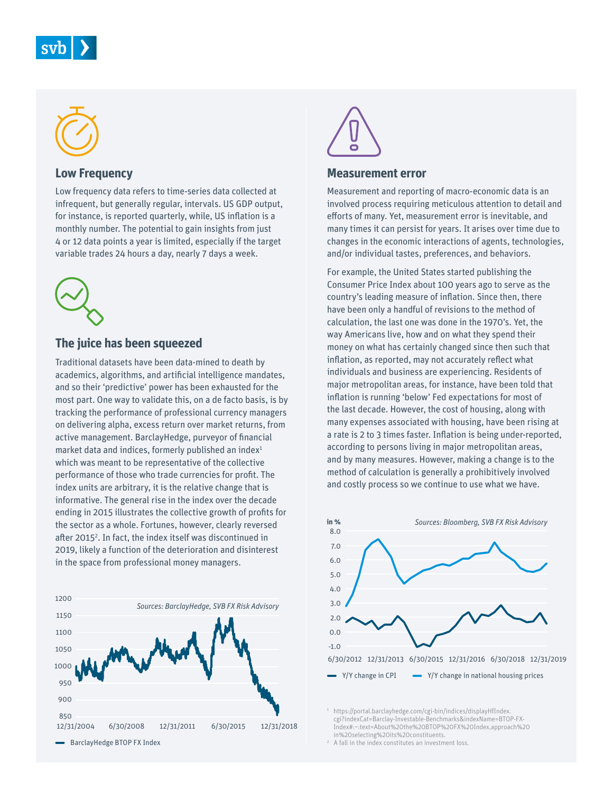



### **Low Frequency**

Low frequency data refers to time-series data collected at infrequent, but generally regular, intervals. US GDP output, for instance, is reported quarterly, while, US inflation is a monthly number. The potential to gain insights from just 4 or 12 data points a year is limited, especially if the target variable trades 24 hours a day, nearly 7 days a week.



# **The juice has been squeezed**

Traditional datasets have been data-mined to death by academics, algorithms, and artificial intelligence mandates, and so their 'predictive' power has been exhausted for the most part. One way to validate this, on a de facto basis, is by tracking the performance of professional currency managers on delivering alpha, excess return over market returns, from active management. BarclayHedge, purveyor of financial market data and indices, formerly published an index<sup>1</sup> which was meant to be representative of the collective performance of those who trade currencies for profit. The index units are arbitrary, it is the relative change that is informative. The general rise in the index over the decade ending in 2015 illustrates the collective growth of profits for the sector as a whole. Fortunes, however, clearly reversed after 2015<sup>2</sup>. In fact, the index itself was discontinued in 2019, likely a function of the deterioration and disinterest in the space from professional money managers.





#### **Measurement error**

Measurement and reporting of macro-economic data is an involved process requiring meticulous attention to detail and efforts of many. Yet, measurement error is inevitable, and many times it can persist for years. It arises over time due to changes in the economic interactions of agents, technologies, and/or individual tastes, preferences, and behaviors.

For example, the United States started publishing the Consumer Price Index about 100 years ago to serve as the country's leading measure of inflation. Since then, there have been only a handful of revisions to the method of calculation, the last one was done in the 1970's. Yet, the way Americans live, how and on what they spend their money on what has certainly changed since then such that inflation, as reported, may not accurately reflect what individuals and business are experiencing. Residents of major metropolitan areas, for instance, have been told that inflation is running 'below' Fed expectations for most of the last decade. However, the cost of housing, along with many expenses associated with housing, have been rising at a rate is 2 to 3 times faster. Inflation is being under-reported, according to persons living in major metropolitan areas, and by many measures. However, making a change is to the method of calculation is generally a prohibitively involved and costly process so we continue to use what we have.



1 https://portal.barclayhedge.com/cgi-bin/indices/displayHfIndex. cgi?indexCat=Barclay-Investable-Benchmarks&indexName=BTOP-FX-Index#:~:text=About%20the%20BTOP%20FX%20Index,approach%20 in%20selecting%20its%20constituents.

<sup>2</sup> A fall in the index constitutes an investment loss.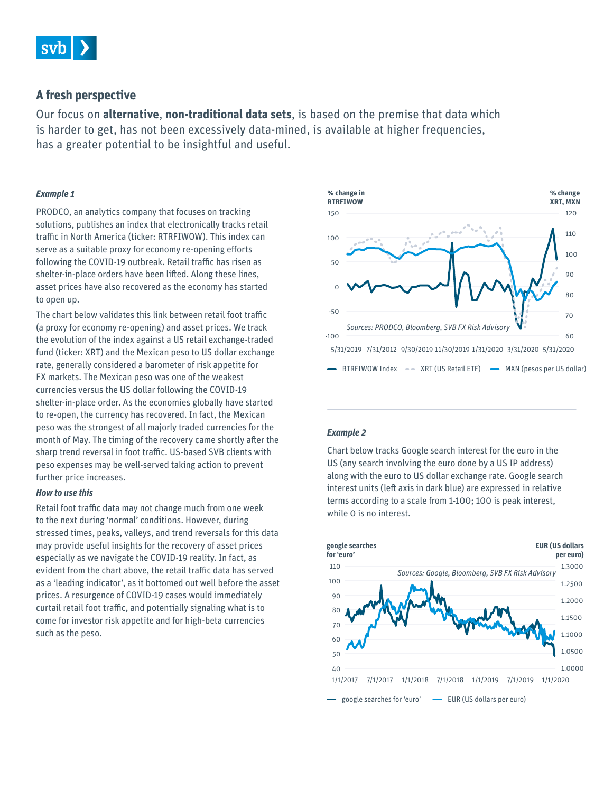

# **A fresh perspective**

Our focus on **alternative**, **non-traditional data sets**, is based on the premise that data which is harder to get, has not been excessively data-mined, is available at higher frequencies, has a greater potential to be insightful and useful.

#### *Example 1*

PRODCO, an analytics company that focuses on tracking solutions, publishes an index that electronically tracks retail traffic in North America (ticker: RTRFIWOW). This index can serve as a suitable proxy for economy re-opening efforts following the COVID-19 outbreak. Retail traffic has risen as shelter-in-place orders have been lifted. Along these lines, asset prices have also recovered as the economy has started to open up.

The chart below validates this link between retail foot traffic (a proxy for economy re-opening) and asset prices. We track the evolution of the index against a US retail exchange-traded fund (ticker: XRT) and the Mexican peso to US dollar exchange rate, generally considered a barometer of risk appetite for FX markets. The Mexican peso was one of the weakest currencies versus the US dollar following the COVID-19 shelter-in-place order. As the economies globally have started to re-open, the currency has recovered. In fact, the Mexican peso was the strongest of all majorly traded currencies for the month of May. The timing of the recovery came shortly after the sharp trend reversal in foot traffic. US-based SVB clients with peso expenses may be well-served taking action to prevent further price increases.

#### *How to use this*

Retail foot traffic data may not change much from one week to the next during 'normal' conditions. However, during stressed times, peaks, valleys, and trend reversals for this data may provide useful insights for the recovery of asset prices especially as we navigate the COVID-19 reality. In fact, as evident from the chart above, the retail traffic data has served as a 'leading indicator', as it bottomed out well before the asset prices. A resurgence of COVID-19 cases would immediately curtail retail foot traffic, and potentially signaling what is to come for investor risk appetite and for high-beta currencies such as the peso.



#### *Example 2*

Chart below tracks Google search interest for the euro in the US (any search involving the euro done by a US IP address) along with the euro to US dollar exchange rate. Google search interest units (left axis in dark blue) are expressed in relative terms according to a scale from 1-100; 100 is peak interest, while 0 is no interest.